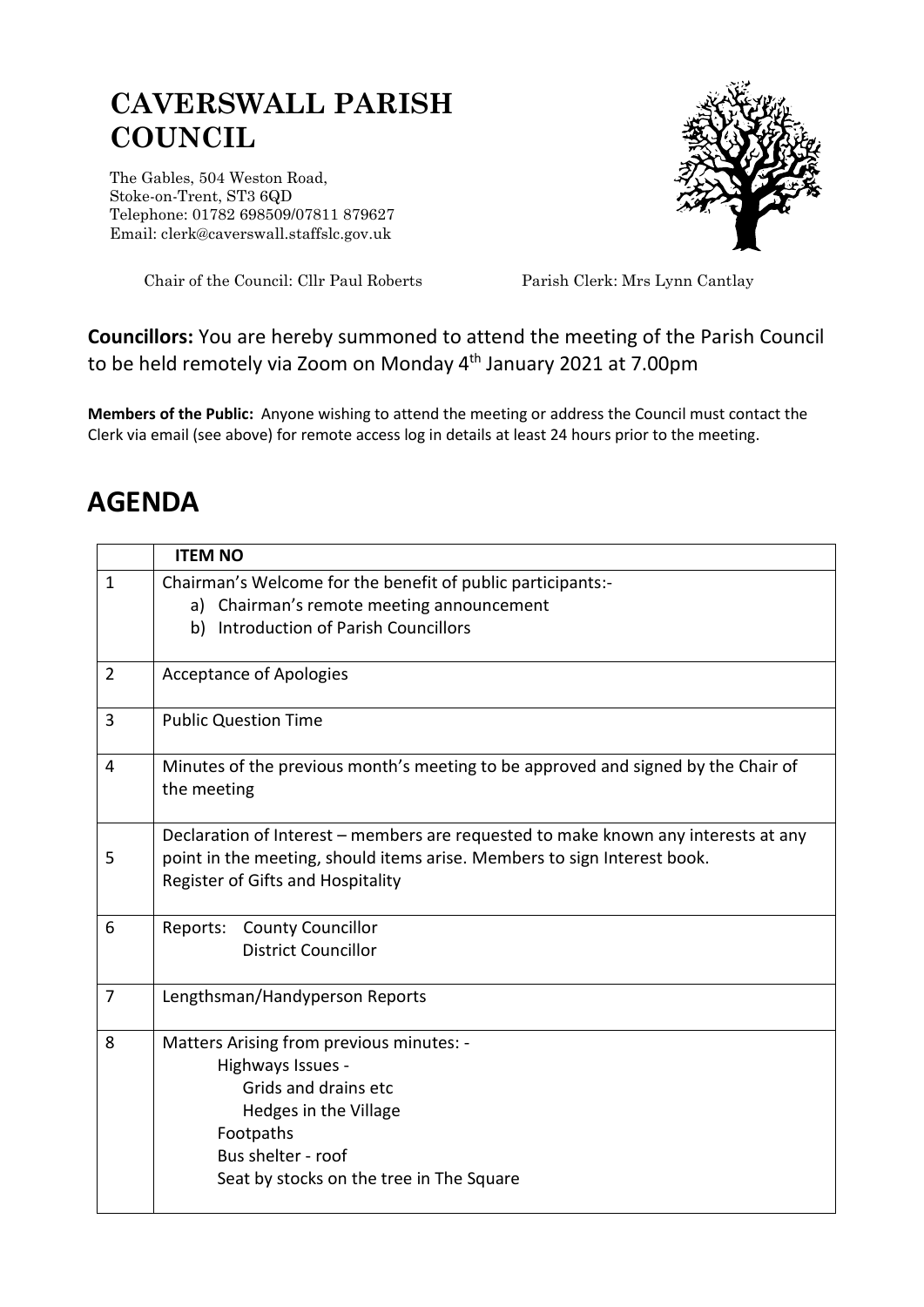## **CAVERSWALL PARISH COUNCIL**

The Gables, 504 Weston Road, Stoke-on-Trent, ST3 6QD Telephone: 01782 698509/07811 879627 Email: clerk@caverswall.staffslc.gov.uk



Chair of the Council: Cllr Paul Roberts Parish Clerk: Mrs Lynn Cantlay

## **Councillors:** You are hereby summoned to attend the meeting of the Parish Council to be held remotely via Zoom on Monday 4<sup>th</sup> January 2021 at 7.00pm

**Members of the Public:** Anyone wishing to attend the meeting or address the Council must contact the Clerk via email (see above) for remote access log in details at least 24 hours prior to the meeting.

## **AGENDA**

|                | <b>ITEM NO</b>                                                                                                                                                                                      |
|----------------|-----------------------------------------------------------------------------------------------------------------------------------------------------------------------------------------------------|
| $\mathbf{1}$   | Chairman's Welcome for the benefit of public participants:-<br>Chairman's remote meeting announcement<br>a)<br>b) Introduction of Parish Councillors                                                |
| $\overline{2}$ | <b>Acceptance of Apologies</b>                                                                                                                                                                      |
| 3              | <b>Public Question Time</b>                                                                                                                                                                         |
| 4              | Minutes of the previous month's meeting to be approved and signed by the Chair of<br>the meeting                                                                                                    |
| 5              | Declaration of Interest – members are requested to make known any interests at any<br>point in the meeting, should items arise. Members to sign Interest book.<br>Register of Gifts and Hospitality |
| 6              | <b>County Councillor</b><br>Reports:<br><b>District Councillor</b>                                                                                                                                  |
| $\overline{7}$ | Lengthsman/Handyperson Reports                                                                                                                                                                      |
| 8              | Matters Arising from previous minutes: -<br>Highways Issues -<br>Grids and drains etc<br>Hedges in the Village<br>Footpaths<br>Bus shelter - roof<br>Seat by stocks on the tree in The Square       |